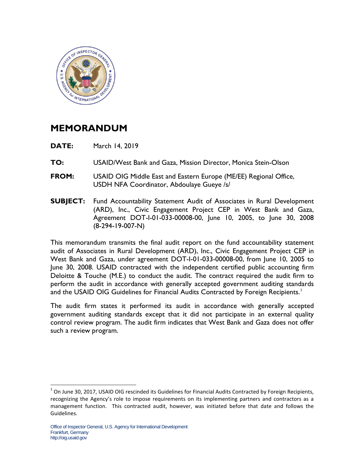

## **MEMORANDUM**

- **DATE:** March 14, 2019
- **TO:** USAID/West Bank and Gaza, Mission Director, Monica Stein-Olson
- **FROM:** USAID OIG Middle East and Eastern Europe (ME/EE) Regional Office, USDH NFA Coordinator, Abdoulaye Gueye /s/
- **SUBJECT:** Fund Accountability Statement Audit of Associates in Rural Development (ARD), Inc., Civic Engagement Project CEP in West Bank and Gaza, Agreement DOT-I-01-033-00008-00, June 10, 2005, to June 30, 2008 (8-294-19-007-N)

This memorandum transmits the final audit report on the fund accountability statement audit of Associates in Rural Development (ARD), Inc., Civic Engagement Project CEP in West Bank and Gaza, under agreement DOT-I-01-033-00008-00, from June 10, 2005 to June 30, 2008. USAID contracted with the independent certified public accounting firm Deloitte & Touche (M.E.) to conduct the audit. The contract required the audit firm to perform the audit in accordance with generally accepted government auditing standards and the USAID OIG Guidelines for Financial Audits Contracted by Foreign Recipients.<sup>[1](#page-0-0)</sup>

The audit firm states it performed its audit in accordance with generally accepted government auditing standards except that it did not participate in an external quality control review program. The audit firm indicates that West Bank and Gaza does not offer such a review program.

<span id="page-0-0"></span> $1$  On June 30, 2017, USAID OIG rescinded its Guidelines for Financial Audits Contracted by Foreign Recipients, recognizing the Agency's role to impose requirements on its implementing partners and contractors as a management function. This contracted audit, however, was initiated before that date and follows the Guidelines.